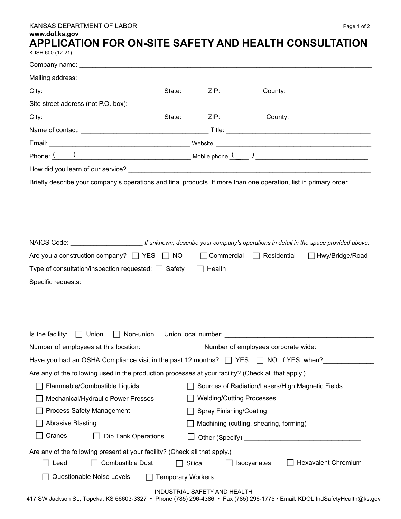## KANSAS DEPARTMENT OF LABOR **Page 1 of 2**

## **www.dol.ks.gov**

## **APPLICATION FOR ON-SITE SAFETY AND HEALTH CONSULTATION**

K-ISH 600 (12-21)

| Briefly describe your company's operations and final products. If more than one operation, list in primary order. |                          |                                  |                                                                                                                            |
|-------------------------------------------------------------------------------------------------------------------|--------------------------|----------------------------------|----------------------------------------------------------------------------------------------------------------------------|
|                                                                                                                   |                          |                                  |                                                                                                                            |
| Are you a construction company? $\Box$ YES $\Box$ NO                                                              |                          |                                  | □ Commercial □ Residential □ Hwy/Bridge/Road                                                                               |
| Type of consultation/inspection requested: $\Box$ Safety                                                          |                          | $\Box$ Health                    |                                                                                                                            |
|                                                                                                                   |                          |                                  |                                                                                                                            |
|                                                                                                                   |                          |                                  | Is the facility: $\Box$ Union $\Box$ Non-union Union local number:                                                         |
|                                                                                                                   |                          |                                  |                                                                                                                            |
| Have you had an OSHA Compliance visit in the past 12 months? $\Box$ YES $\Box$ NO If YES, when?                   |                          |                                  |                                                                                                                            |
| Are any of the following used in the production processes at your facility? (Check all that apply.)               |                          |                                  |                                                                                                                            |
| Flammable/Combustible Liquids                                                                                     |                          |                                  | Sources of Radiation/Lasers/High Magnetic Fields                                                                           |
| Mechanical/Hydraulic Power Presses                                                                                |                          | <b>Welding/Cutting Processes</b> |                                                                                                                            |
| <b>Process Safety Management</b>                                                                                  |                          | Spray Finishing/Coating          |                                                                                                                            |
| <b>Abrasive Blasting</b>                                                                                          |                          |                                  | Machining (cutting, shearing, forming)                                                                                     |
| Cranes<br><b>Dip Tank Operations</b>                                                                              |                          |                                  |                                                                                                                            |
| Are any of the following present at your facility? (Check all that apply.)<br>Combustible Dust<br>Lead            |                          | Silica                           | <b>Hexavalent Chromium</b><br>Isocyanates                                                                                  |
| Questionable Noise Levels                                                                                         | <b>Temporary Workers</b> |                                  |                                                                                                                            |
|                                                                                                                   |                          | INDUSTRIAL SAFETY AND HEALTH     | 417 SW Jackson St., Topeka, KS 66603-3327 • Phone (785) 296-4386 • Fax (785) 296-1775 • Email: KDOL.IndSafetyHealth@ks.gov |